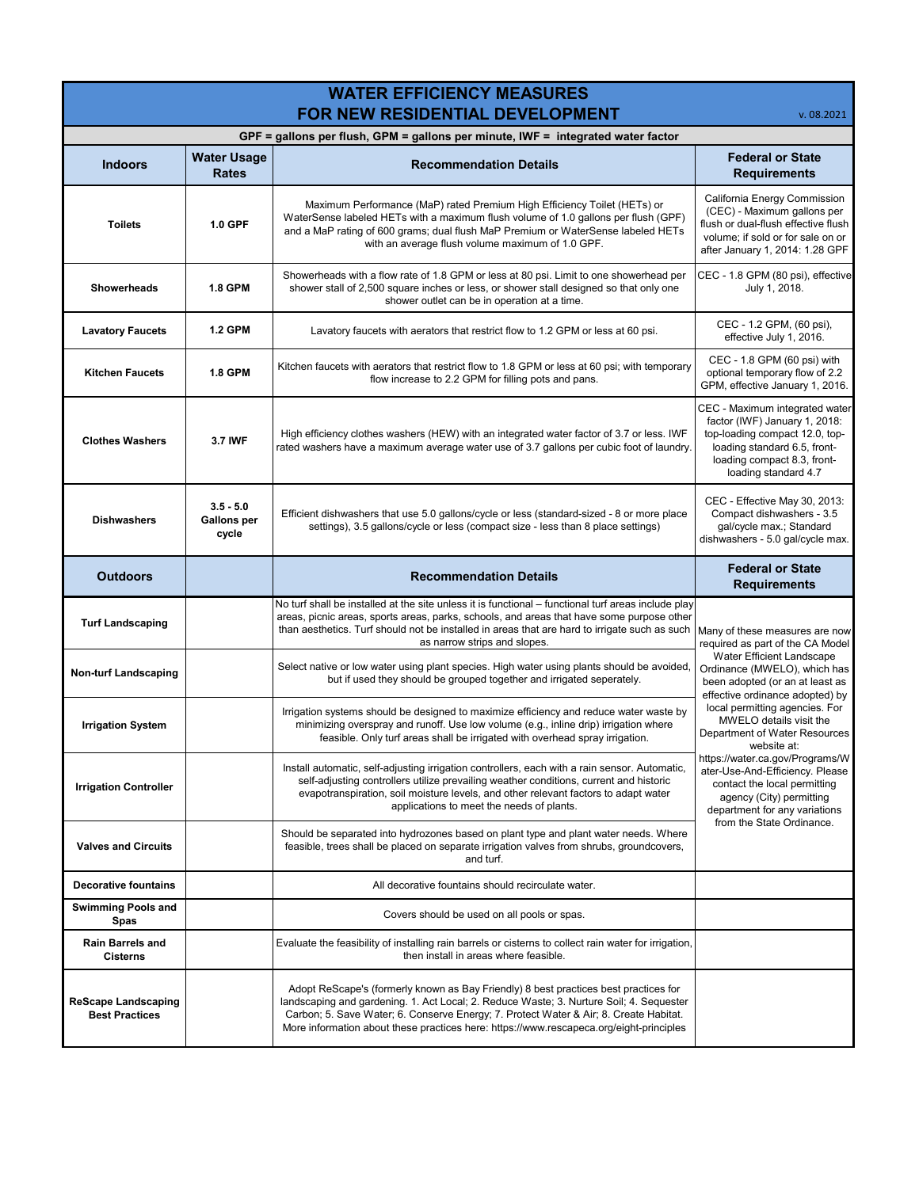| <b>WATER EFFICIENCY MEASURES</b><br>FOR NEW RESIDENTIAL DEVELOPMENT<br>v. 08.2021 |                                            |                                                                                                                                                                                                                                                                                                                                                                     |                                                                                                                                                                                                                                                                                                                                                                                                                                                                                                                    |  |
|-----------------------------------------------------------------------------------|--------------------------------------------|---------------------------------------------------------------------------------------------------------------------------------------------------------------------------------------------------------------------------------------------------------------------------------------------------------------------------------------------------------------------|--------------------------------------------------------------------------------------------------------------------------------------------------------------------------------------------------------------------------------------------------------------------------------------------------------------------------------------------------------------------------------------------------------------------------------------------------------------------------------------------------------------------|--|
| GPF = gallons per flush, GPM = gallons per minute, IWF = integrated water factor  |                                            |                                                                                                                                                                                                                                                                                                                                                                     |                                                                                                                                                                                                                                                                                                                                                                                                                                                                                                                    |  |
| <b>Indoors</b>                                                                    | <b>Water Usage</b><br><b>Rates</b>         | <b>Recommendation Details</b>                                                                                                                                                                                                                                                                                                                                       | <b>Federal or State</b><br><b>Requirements</b>                                                                                                                                                                                                                                                                                                                                                                                                                                                                     |  |
| <b>Toilets</b>                                                                    | 1.0 GPF                                    | Maximum Performance (MaP) rated Premium High Efficiency Toilet (HETs) or<br>WaterSense labeled HETs with a maximum flush volume of 1.0 gallons per flush (GPF)<br>and a MaP rating of 600 grams; dual flush MaP Premium or WaterSense labeled HETs<br>with an average flush volume maximum of 1.0 GPF.                                                              | California Energy Commission<br>(CEC) - Maximum gallons per<br>flush or dual-flush effective flush<br>volume; if sold or for sale on or<br>after January 1, 2014: 1.28 GPF                                                                                                                                                                                                                                                                                                                                         |  |
| <b>Showerheads</b>                                                                | <b>1.8 GPM</b>                             | Showerheads with a flow rate of 1.8 GPM or less at 80 psi. Limit to one showerhead per<br>shower stall of 2,500 square inches or less, or shower stall designed so that only one<br>shower outlet can be in operation at a time.                                                                                                                                    | CEC - 1.8 GPM (80 psi), effective<br>July 1, 2018.                                                                                                                                                                                                                                                                                                                                                                                                                                                                 |  |
| <b>Lavatory Faucets</b>                                                           | <b>1.2 GPM</b>                             | Lavatory faucets with aerators that restrict flow to 1.2 GPM or less at 60 psi.                                                                                                                                                                                                                                                                                     | CEC - 1.2 GPM, (60 psi),<br>effective July 1, 2016.                                                                                                                                                                                                                                                                                                                                                                                                                                                                |  |
| <b>Kitchen Faucets</b>                                                            | <b>1.8 GPM</b>                             | Kitchen faucets with aerators that restrict flow to 1.8 GPM or less at 60 psi; with temporary<br>flow increase to 2.2 GPM for filling pots and pans.                                                                                                                                                                                                                | CEC - 1.8 GPM (60 psi) with<br>optional temporary flow of 2.2<br>GPM, effective January 1, 2016.                                                                                                                                                                                                                                                                                                                                                                                                                   |  |
| <b>Clothes Washers</b>                                                            | 3.7 IWF                                    | High efficiency clothes washers (HEW) with an integrated water factor of 3.7 or less. IWF<br>rated washers have a maximum average water use of 3.7 gallons per cubic foot of laundry.                                                                                                                                                                               | CEC - Maximum integrated water<br>factor (IWF) January 1, 2018:<br>top-loading compact 12.0, top-<br>loading standard 6.5, front-<br>loading compact 8.3, front-<br>loading standard 4.7                                                                                                                                                                                                                                                                                                                           |  |
| <b>Dishwashers</b>                                                                | $3.5 - 5.0$<br><b>Gallons per</b><br>cycle | Efficient dishwashers that use 5.0 gallons/cycle or less (standard-sized - 8 or more place<br>settings), 3.5 gallons/cycle or less (compact size - less than 8 place settings)                                                                                                                                                                                      | CEC - Effective May 30, 2013:<br>Compact dishwashers - 3.5<br>gal/cycle max.; Standard<br>dishwashers - 5.0 gal/cycle max.                                                                                                                                                                                                                                                                                                                                                                                         |  |
| <b>Outdoors</b>                                                                   |                                            | <b>Recommendation Details</b>                                                                                                                                                                                                                                                                                                                                       | <b>Federal or State</b><br><b>Requirements</b>                                                                                                                                                                                                                                                                                                                                                                                                                                                                     |  |
| <b>Turf Landscaping</b>                                                           |                                            | No turf shall be installed at the site unless it is functional – functional turf areas include play<br>areas, picnic areas, sports areas, parks, schools, and areas that have some purpose other<br>than aesthetics. Turf should not be installed in areas that are hard to irrigate such as such<br>as narrow strips and slopes.                                   | Many of these measures are now<br>required as part of the CA Model<br>Water Efficient Landscape<br>Ordinance (MWELO), which has<br>been adopted (or an at least as<br>effective ordinance adopted) by<br>local permitting agencies. For<br>MWELO details visit the<br>Department of Water Resources<br>website at:<br>https://water.ca.gov/Programs/W<br>ater-Use-And-Efficiency. Please<br>contact the local permitting<br>agency (City) permitting<br>department for any variations<br>from the State Ordinance. |  |
| <b>Non-turf Landscaping</b>                                                       |                                            | Select native or low water using plant species. High water using plants should be avoided<br>but if used they should be grouped together and irrigated seperately.                                                                                                                                                                                                  |                                                                                                                                                                                                                                                                                                                                                                                                                                                                                                                    |  |
| <b>Irrigation System</b>                                                          |                                            | Irrigation systems should be designed to maximize efficiency and reduce water waste by<br>minimizing overspray and runoff. Use low volume (e.g., inline drip) irrigation where<br>feasible. Only turf areas shall be irrigated with overhead spray irrigation.                                                                                                      |                                                                                                                                                                                                                                                                                                                                                                                                                                                                                                                    |  |
| <b>Irrigation Controller</b>                                                      |                                            | Install automatic, self-adjusting irrigation controllers, each with a rain sensor. Automatic,<br>self-adjusting controllers utilize prevailing weather conditions, current and historic<br>evapotranspiration, soil moisture levels, and other relevant factors to adapt water<br>applications to meet the needs of plants.                                         |                                                                                                                                                                                                                                                                                                                                                                                                                                                                                                                    |  |
| <b>Valves and Circuits</b>                                                        |                                            | Should be separated into hydrozones based on plant type and plant water needs. Where<br>feasible, trees shall be placed on separate irrigation valves from shrubs, groundcovers,<br>and turf.                                                                                                                                                                       |                                                                                                                                                                                                                                                                                                                                                                                                                                                                                                                    |  |
| <b>Decorative fountains</b>                                                       |                                            | All decorative fountains should recirculate water.                                                                                                                                                                                                                                                                                                                  |                                                                                                                                                                                                                                                                                                                                                                                                                                                                                                                    |  |
| <b>Swimming Pools and</b><br><b>Spas</b>                                          |                                            | Covers should be used on all pools or spas.                                                                                                                                                                                                                                                                                                                         |                                                                                                                                                                                                                                                                                                                                                                                                                                                                                                                    |  |
| Rain Barrels and<br><b>Cisterns</b>                                               |                                            | Evaluate the feasibility of installing rain barrels or cisterns to collect rain water for irrigation,<br>then install in areas where feasible.                                                                                                                                                                                                                      |                                                                                                                                                                                                                                                                                                                                                                                                                                                                                                                    |  |
| <b>ReScape Landscaping</b><br><b>Best Practices</b>                               |                                            | Adopt ReScape's (formerly known as Bay Friendly) 8 best practices best practices for<br>landscaping and gardening. 1. Act Local; 2. Reduce Waste; 3. Nurture Soil; 4. Sequester<br>Carbon; 5. Save Water; 6. Conserve Energy; 7. Protect Water & Air; 8. Create Habitat.<br>More information about these practices here: https://www.rescapeca.org/eight-principles |                                                                                                                                                                                                                                                                                                                                                                                                                                                                                                                    |  |